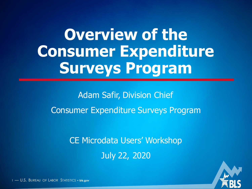# **Overview of the Consumer Expenditure Surveys Program**

Adam Safir, Division Chief Consumer Expenditure Surveys Program

> CE Microdata Users' Workshop July 22, 2020



1 — U.S. BUREAU OF LABOR STATISTICS • **bls.gov**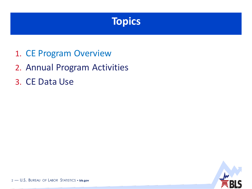### **Topics**

- 1. CE Program Overview
- 2. Annual Program Activities
- 3. CE Data Use

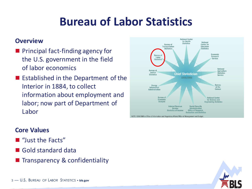### **Bureau of Labor Statistics**

#### **Overview**

- **Principal fact-finding agency for** the U.S. government in the field of labor economics
- $\blacksquare$  Established in the Department of the Interior in 1884, to collect information about employment and labor; now part of Department of Labor



NOTE: OIRA/OMB is Office of Information and Regulatory Affairs/Office of Management and Budge

#### **Core Values**

- "Just the Facts"
- **Gold standard data**
- **Transparency & confidentiality**

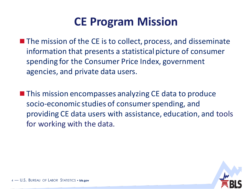### **CE Program Mission**

- The mission of the CE is to collect, process, and disseminate information that presents a statistical picture of consumer spending for the Consumer Price Index, government agencies, and private data users.
- **This mission encompasses analyzing CE data to produce** socio-economic studies of consumer spending, and providing CE data users with assistance, education, and tools for working with the data.

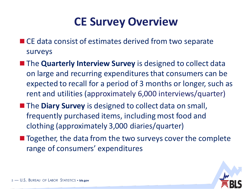### **CE Survey Overview**

- CE data consist of estimates derived from two separate surveys
- **The Quarterly Interview Survey** is designed to collect data on large and recurring expenditures that consumers can be expected to recall for a period of 3 months or longer, such as rent and utilities (approximately 6,000 interviews/quarter)
- **The Diary Survey** is designed to collect data on small, frequently purchased items, including most food and clothing (approximately 3,000 diaries/quarter)
- Together, the data from the two surveys cover the complete range of consumers' expenditures

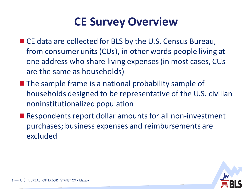### **CE Survey Overview**

- CE data are collected for BLS by the U.S. Census Bureau, from consumer units (CUs), in other words people living at one address who share living expenses (in most cases, CUs are the same as households)
- $\blacksquare$  The sample frame is a national probability sample of households designed to be representative of the U.S. civilian noninstitutionalized population
- Respondents report dollar amounts for all non-investment purchases; business expenses and reimbursements are excluded

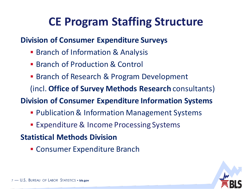### **CE Program Staffing Structure**

#### **Division of Consumer Expenditure Surveys**

- **Branch of Information & Analysis**
- **Branch of Production & Control**
- Branch of Research & Program Development

(incl. **Office of Survey Methods Research** consultants)

**Division of Consumer Expenditure Information Systems**

- Publication & Information Management Systems
- **Expenditure & Income Processing Systems**

### **Statistical Methods Division**

Consumer Expenditure Branch

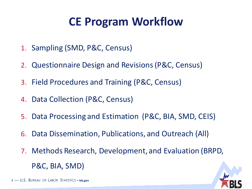### **CE Program Workflow**

- 1. Sampling (SMD, P&C, Census)
- 2. Questionnaire Design and Revisions (P&C, Census)
- 3. Field Procedures and Training (P&C, Census)
- 4. Data Collection (P&C, Census)
- 5. Data Processing and Estimation (P&C, BIA, SMD, CEIS)
- 6. Data Dissemination, Publications, and Outreach (All)
- 7. Methods Research, Development, and Evaluation (BRPD, P&C, BIA, SMD)

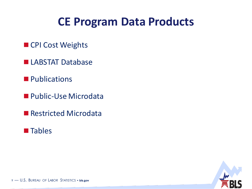### **CE Program Data Products**

- CPI Cost Weights
- **LABSTAT Database**
- **Publications**
- **Public-Use Microdata**
- Restricted Microdata
- **Tables**

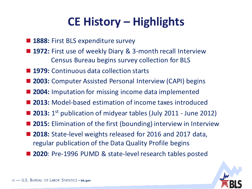### **CE History – Highlights**

- **1888: First BLS expenditure survey**
- 1972: First use of weekly Diary & 3-month recall Interview Census Bureau begins survey collection for BLS
- 1979: Continuous data collection starts
- 2003: Computer Assisted Personal Interview (CAPI) begins
- 2004: Imputation for missing income data implemented
- 2013: Model-based estimation of income taxes introduced
- 2013: 1<sup>st</sup> publication of midyear tables (July 2011 June 2012)
- 2015: Elimination of the first (bounding) interview in Interview
- 2018: State-level weights released for 2016 and 2017 data, regular publication of the Data Quality Profile begins
- **2020**: Pre-1996 PUMD & state-level research tables posted

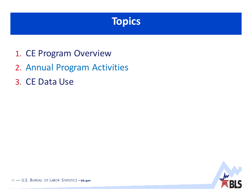### **Topics**

- 1. CE Program Overview
- 2. Annual Program Activities
- 3. CE Data Use

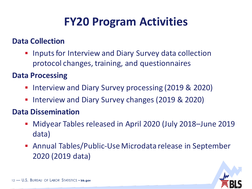### **FY20 Program Activities**

#### **Data Collection**

**IF Inputs for Interview and Diary Survey data collection** protocol changes, training, and questionnaires

#### **Data Processing**

- **Interview and Diary Survey processing (2019 & 2020)**
- **Interview and Diary Survey changes (2019 & 2020)**

#### **Data Dissemination**

- Midyear Tables released in April 2020 (July 2018–June 2019 data)
- Annual Tables/Public-Use Microdata release in September 2020 (2019 data)

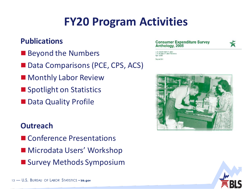### **FY20 Program Activities**

#### **Publications**

- Beyond the Numbers
- Data Comparisons (PCE, CPS, ACS)
- Monthly Labor Review
- Spotlight on Statistics
- Data Quality Profile

#### **Outreach**

- Conference Presentations
- Microdata Users' Workshop
- Survey Methods Symposium

#### **Consumer Expenditure Survey** Anthology, 2005



Department of Labor 5. Bureau of Labor Statistics



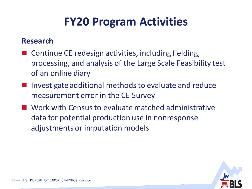### **FY20 Program Activities**

#### **Research**

- Continue CE redesign activities, including fielding, processing, and analysis of the Large Scale Feasibility test of an online diary
- Investigate additional methods to evaluate and reduce measurement error in the CE Survey
- Work with Census to evaluate matched administrative data for potential production use in nonresponse adjustments or imputation models

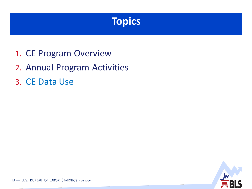### **Topics**

- 1. CE Program Overview
- 2. Annual Program Activities
- 3. CE Data Use

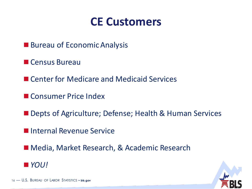### **CE Customers**

- **Bureau of Economic Analysis**
- **Census Bureau**
- Center for Medicare and Medicaid Services
- Consumer Price Index
- Depts of Agriculture; Defense; Health & Human Services
- Internal Revenue Service
- Media, Market Research, & Academic Research



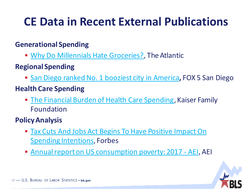## **CE Data in Recent External Publications**

#### **Generational Spending**

- **[Why Do Millennials Hate Groceries?,](http://www.theatlantic.com/business/archive/2016/11/millennials-groceries/506180/) The Atlantic**
- **Regional Spending**
	- **[San Diego ranked No. 1 booziest city in America](https://fox5sandiego.com/2018/10/20/san-diego-ranked-no-1-booziest-city-in-america/), FOX 5 San Diego**
- **Health Care Spending**
	- **[The Financial Burden of Health Care Spending](https://www.kff.org/medicare/issue-brief/the-financial-burden-of-health-care-spending-larger-for-medicare-households-than-for-non-medicare-households/), Kaiser Family** Foundation
- **Policy Analysis**
	- **[Tax Cuts And Jobs Act Begins To Have Positive Impact On](https://www.forbes.com/sites/forbesinsights/2018/03/19/tax-cuts-and-jobs-act-begins-to-have-positive-impact-on-spending-intentions/)** Spending Intentions, Forbes
	- [Annual report on US consumption poverty: 2017 -](https://news.google.com/articles/CBMiTWh0dHBzOi8vd3d3LmFlaS5vcmcvcHVibGljYXRpb24vYW5udWFsLXJlcG9ydC1vbi11cy1jb25zdW1wdGlvbi1wb3ZlcnR5LTIwMTcv0gEA) AEI, AEI

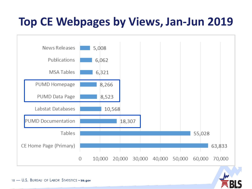### **Top CE Webpages by Views, Jan-Jun 2019**